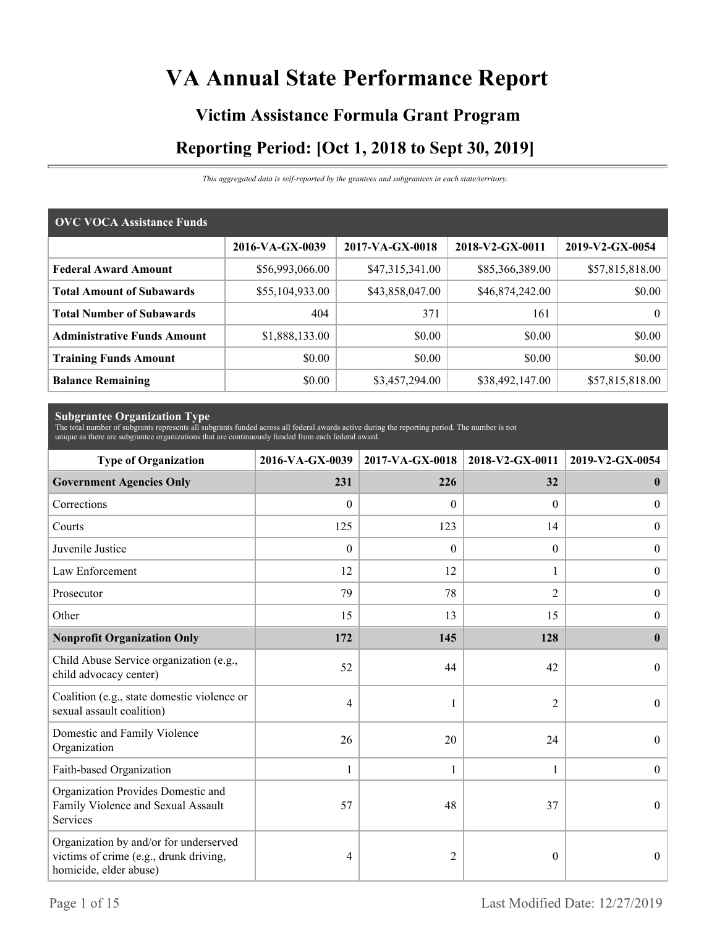# **VA Annual State Performance Report**

# **Victim Assistance Formula Grant Program Reporting Period: [Oct 1, 2018 to Sept 30, 2019]**

*This aggregated data is self-reported by the grantees and subgrantees in each state/territory.*

| <b>OVC VOCA Assistance Funds</b>   |                 |                 |                 |                 |  |  |  |
|------------------------------------|-----------------|-----------------|-----------------|-----------------|--|--|--|
|                                    | 2016-VA-GX-0039 | 2017-VA-GX-0018 | 2018-V2-GX-0011 | 2019-V2-GX-0054 |  |  |  |
| <b>Federal Award Amount</b>        | \$56,993,066.00 | \$47,315,341.00 | \$85,366,389.00 | \$57,815,818.00 |  |  |  |
| <b>Total Amount of Subawards</b>   | \$55,104,933.00 | \$43,858,047.00 | \$46,874,242.00 | \$0.00          |  |  |  |
| <b>Total Number of Subawards</b>   | 404             | 371             | 161             | 0 <sup>1</sup>  |  |  |  |
| <b>Administrative Funds Amount</b> | \$1,888,133.00  | \$0.00          | \$0.00          | \$0.00          |  |  |  |
| <b>Training Funds Amount</b>       | \$0.00          | \$0.00          | \$0.00          | \$0.00          |  |  |  |
| <b>Balance Remaining</b>           | \$0.00          | \$3,457,294.00  | \$38,492,147.00 | \$57,815,818.00 |  |  |  |

**Subgrantee Organization Type** The total number of subgrants represents all subgrants funded across all federal awards active during the reporting period. The number is not unique as there are subgrantee organizations that are continuously funded from each federal award.

| <b>Type of Organization</b>                                                                                | 2016-VA-GX-0039  | 2017-VA-GX-0018 | 2018-V2-GX-0011  | 2019-V2-GX-0054  |
|------------------------------------------------------------------------------------------------------------|------------------|-----------------|------------------|------------------|
| <b>Government Agencies Only</b>                                                                            | 231              | 226             | 32               | $\mathbf{0}$     |
| Corrections                                                                                                | $\mathbf{0}$     | $\Omega$        | $\Omega$         | $\overline{0}$   |
| Courts                                                                                                     | 125              | 123             | 14               | $\overline{0}$   |
| Juvenile Justice                                                                                           | $\boldsymbol{0}$ | $\mathbf{0}$    | $\boldsymbol{0}$ | $\boldsymbol{0}$ |
| Law Enforcement                                                                                            | 12               | 12              | 1                | $\mathbf{0}$     |
| Prosecutor                                                                                                 | 79               | 78              | 2                | $\overline{0}$   |
| Other                                                                                                      | 15               | 13              | 15               | $\boldsymbol{0}$ |
| <b>Nonprofit Organization Only</b>                                                                         | 172              | 145             | 128              | $\bf{0}$         |
| Child Abuse Service organization (e.g.,<br>child advocacy center)                                          | 52               | 44              | 42               | $\theta$         |
| Coalition (e.g., state domestic violence or<br>sexual assault coalition)                                   | 4                |                 | $\overline{2}$   | $\overline{0}$   |
| Domestic and Family Violence<br>Organization                                                               | 26               | 20              | 24               | $\theta$         |
| Faith-based Organization                                                                                   | $\mathbf{1}$     | $\mathbf{1}$    | $\mathbf{1}$     | $\boldsymbol{0}$ |
| Organization Provides Domestic and<br>Family Violence and Sexual Assault<br>Services                       | 57               | 48              | 37               | $\mathbf{0}$     |
| Organization by and/or for underserved<br>victims of crime (e.g., drunk driving,<br>homicide, elder abuse) | 4                | 2               | $\theta$         | $\mathbf{0}$     |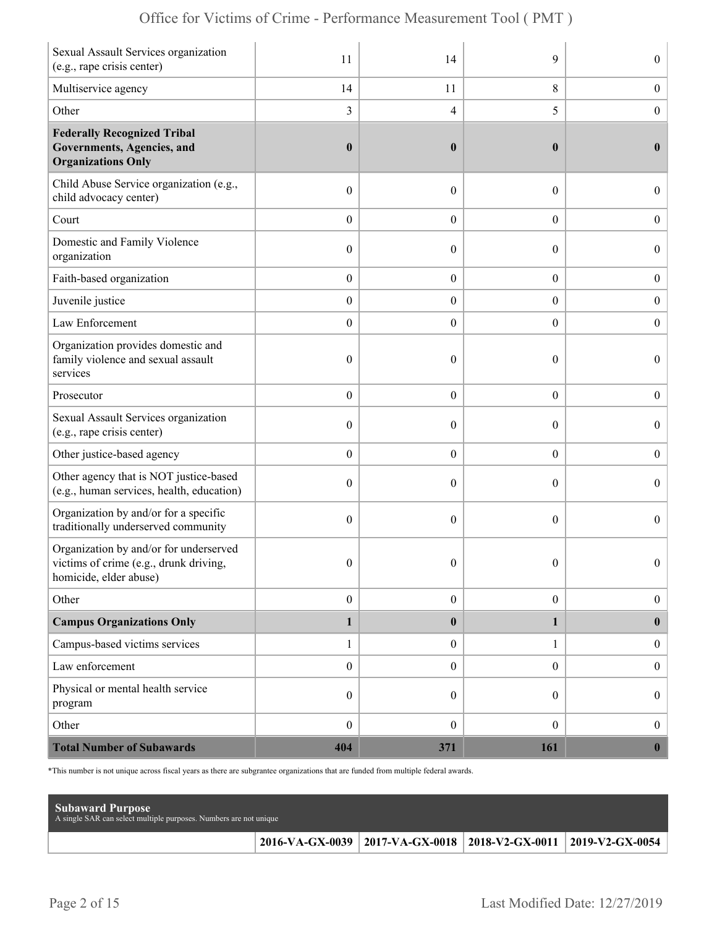| Sexual Assault Services organization<br>(e.g., rape crisis center)                                        | 11               | 14               | 9                | $\overline{0}$   |
|-----------------------------------------------------------------------------------------------------------|------------------|------------------|------------------|------------------|
| Multiservice agency                                                                                       | 14               | 11               | 8                | $\boldsymbol{0}$ |
| Other                                                                                                     | 3                | 4                | 5                | $\boldsymbol{0}$ |
| <b>Federally Recognized Tribal</b><br>Governments, Agencies, and<br><b>Organizations Only</b>             | $\boldsymbol{0}$ | $\bf{0}$         | $\bf{0}$         | $\bf{0}$         |
| Child Abuse Service organization (e.g.,<br>child advocacy center)                                         | $\boldsymbol{0}$ | $\overline{0}$   | $\boldsymbol{0}$ | $\overline{0}$   |
| Court                                                                                                     | $\boldsymbol{0}$ | $\overline{0}$   | $\overline{0}$   | $\boldsymbol{0}$ |
| Domestic and Family Violence<br>organization                                                              | $\boldsymbol{0}$ | $\overline{0}$   | $\theta$         | $\boldsymbol{0}$ |
| Faith-based organization                                                                                  | $\boldsymbol{0}$ | $\boldsymbol{0}$ | $\boldsymbol{0}$ | $\boldsymbol{0}$ |
| Juvenile justice                                                                                          | $\boldsymbol{0}$ | $\boldsymbol{0}$ | $\boldsymbol{0}$ | $\boldsymbol{0}$ |
| Law Enforcement                                                                                           | $\boldsymbol{0}$ | $\overline{0}$   | $\overline{0}$   | $\mathbf{0}$     |
| Organization provides domestic and<br>family violence and sexual assault<br>services                      | $\boldsymbol{0}$ | $\theta$         | 0                | $\overline{0}$   |
| Prosecutor                                                                                                | $\boldsymbol{0}$ | $\overline{0}$   | $\overline{0}$   | $\boldsymbol{0}$ |
| Sexual Assault Services organization<br>(e.g., rape crisis center)                                        | $\mathbf{0}$     | 0                | $\theta$         | $\overline{0}$   |
| Other justice-based agency                                                                                | $\boldsymbol{0}$ | $\boldsymbol{0}$ | $\boldsymbol{0}$ | $\boldsymbol{0}$ |
| Other agency that is NOT justice-based<br>(e.g., human services, health, education)                       | $\boldsymbol{0}$ | $\overline{0}$   | $\theta$         | $\boldsymbol{0}$ |
| Organization by and/or for a specific<br>traditionally underserved community                              | $\boldsymbol{0}$ | $\overline{0}$   | $\theta$         | $\overline{0}$   |
| Organization by and/or for underserved<br>victims of crime (e.g., drunk driving<br>homicide, elder abuse) | $\mathbf{0}$     | $\overline{0}$   | $\theta$         | $\overline{0}$   |
| Other                                                                                                     | $\boldsymbol{0}$ | $\boldsymbol{0}$ | $\boldsymbol{0}$ | $\overline{0}$   |
| <b>Campus Organizations Only</b>                                                                          | $\mathbf{1}$     | $\bf{0}$         | 1                | $\bf{0}$         |
| Campus-based victims services                                                                             | $\mathbf{1}$     | $\boldsymbol{0}$ | $\mathbf{1}$     | $\overline{0}$   |
| Law enforcement                                                                                           | $\boldsymbol{0}$ | $\boldsymbol{0}$ | $\boldsymbol{0}$ | $\boldsymbol{0}$ |
| Physical or mental health service<br>program                                                              | $\boldsymbol{0}$ | $\overline{0}$   | $\overline{0}$   | $\boldsymbol{0}$ |
| Other                                                                                                     | $\boldsymbol{0}$ | $\boldsymbol{0}$ | $\boldsymbol{0}$ | $\overline{0}$   |
| <b>Total Number of Subawards</b>                                                                          | 404              | 371              | 161              | $\mathbf{0}$     |

\*This number is not unique across fiscal years as there are subgrantee organizations that are funded from multiple federal awards.

| <b>Subaward Purpose</b><br>A single SAR can select multiple purposes. Numbers are not unique |                                                                       |  |
|----------------------------------------------------------------------------------------------|-----------------------------------------------------------------------|--|
|                                                                                              | 2016-VA-GX-0039   2017-VA-GX-0018   2018-V2-GX-0011   2019-V2-GX-0054 |  |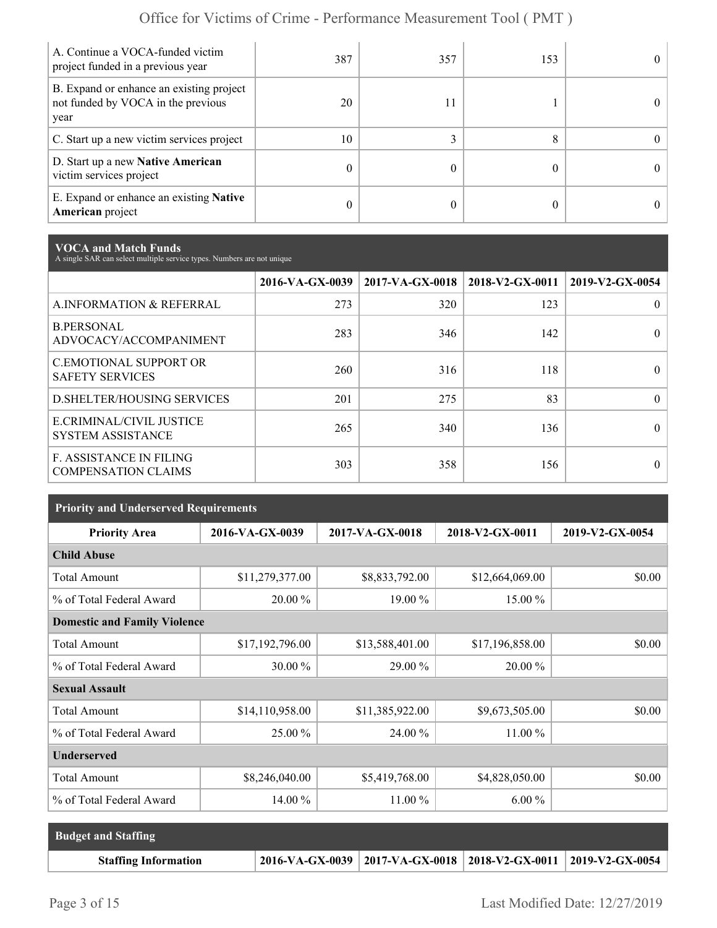| A. Continue a VOCA-funded victim<br>project funded in a previous year                  | 387 | 357 | 153 | $_{0}$     |
|----------------------------------------------------------------------------------------|-----|-----|-----|------------|
| B. Expand or enhance an existing project<br>not funded by VOCA in the previous<br>year | 20  | 11  |     |            |
| C. Start up a new victim services project                                              | 10  |     |     | $^{\circ}$ |
| D. Start up a new Native American<br>victim services project                           | 0   |     |     | $^{\circ}$ |
| E. Expand or enhance an existing <b>Native</b><br><b>American</b> project              | 0   |     |     | 0          |

**VOCA and Match Funds** A single SAR can select multiple service types. Numbers are not unique

|                                                              | 2016-VA-GX-0039 | $2017-VA-GX-0018$ | 2018-V2-GX-0011 | 2019-V2-GX-0054 |
|--------------------------------------------------------------|-----------------|-------------------|-----------------|-----------------|
| A.INFORMATION & REFERRAL                                     | 273             | 320               | 123             | 0               |
| <b>B.PERSONAL</b><br>ADVOCACY/ACCOMPANIMENT                  | 283             | 346               | 142             | 0               |
| <b>C.EMOTIONAL SUPPORT OR</b><br><b>SAFETY SERVICES</b>      | 260             | 316               | 118             | 0               |
| <b>D.SHELTER/HOUSING SERVICES</b>                            | 201             | 275               | 83              | 0               |
| E.CRIMINAL/CIVIL JUSTICE<br><b>SYSTEM ASSISTANCE</b>         | 265             | 340               | 136             |                 |
| <b>F. ASSISTANCE IN FILING</b><br><b>COMPENSATION CLAIMS</b> | 303             | 358               | 156             | $\theta$        |

| <b>Priority and Underserved Requirements</b> |                 |                 |                 |                 |  |  |
|----------------------------------------------|-----------------|-----------------|-----------------|-----------------|--|--|
| <b>Priority Area</b>                         | 2016-VA-GX-0039 | 2017-VA-GX-0018 | 2018-V2-GX-0011 | 2019-V2-GX-0054 |  |  |
| <b>Child Abuse</b>                           |                 |                 |                 |                 |  |  |
| <b>Total Amount</b>                          | \$11,279,377.00 | \$8,833,792.00  | \$12,664,069.00 | \$0.00          |  |  |
| % of Total Federal Award                     | 20.00 %         | 19.00 %         | 15.00 %         |                 |  |  |
| <b>Domestic and Family Violence</b>          |                 |                 |                 |                 |  |  |
| <b>Total Amount</b>                          | \$17,192,796.00 | \$13,588,401.00 | \$17,196,858.00 | \$0.00          |  |  |
| % of Total Federal Award                     | 30.00 %         | 29.00 %         | 20.00 %         |                 |  |  |
| <b>Sexual Assault</b>                        |                 |                 |                 |                 |  |  |
| <b>Total Amount</b>                          | \$14,110,958.00 | \$11,385,922.00 | \$9,673,505.00  | \$0.00          |  |  |
| % of Total Federal Award                     | 25.00 %         | 24.00 %         | $11.00\%$       |                 |  |  |
| <b>Underserved</b>                           |                 |                 |                 |                 |  |  |
| <b>Total Amount</b>                          | \$8,246,040.00  | \$5,419,768.00  | \$4,828,050.00  | \$0.00          |  |  |
| % of Total Federal Award                     | 14.00 %         | 11.00 %         | $6.00\%$        |                 |  |  |

| <b>Budget and Staffing</b>  |                                                                       |  |
|-----------------------------|-----------------------------------------------------------------------|--|
| <b>Staffing Information</b> | 2016-VA-GX-0039   2017-VA-GX-0018   2018-V2-GX-0011   2019-V2-GX-0054 |  |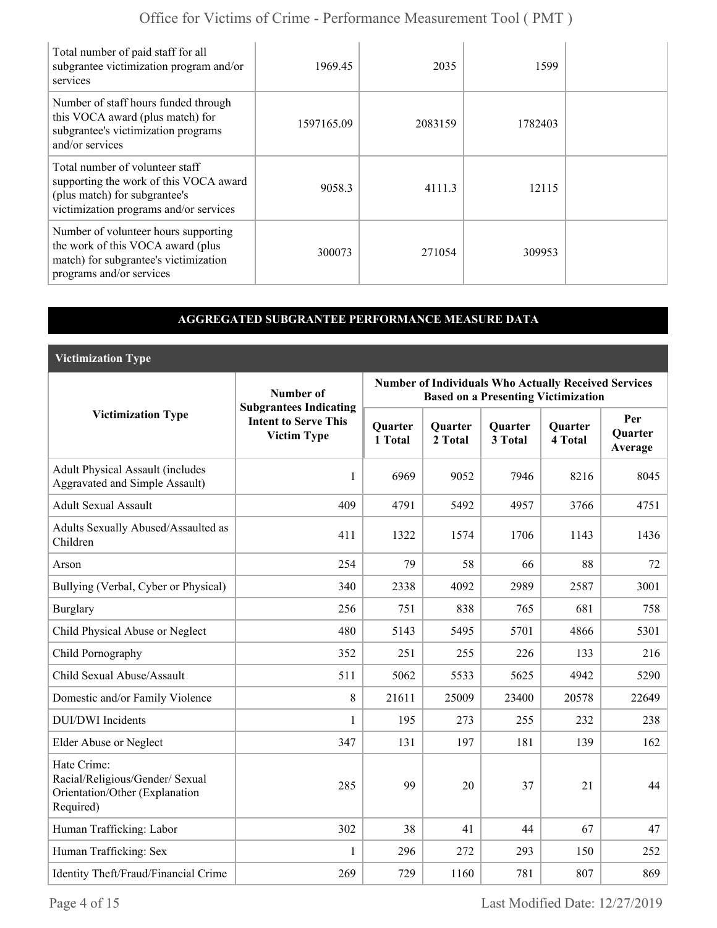| Total number of paid staff for all<br>subgrantee victimization program and/or<br>services                                                            | 1969.45    | 2035    | 1599    |  |
|------------------------------------------------------------------------------------------------------------------------------------------------------|------------|---------|---------|--|
| Number of staff hours funded through<br>this VOCA award (plus match) for<br>subgrantee's victimization programs<br>and/or services                   | 1597165.09 | 2083159 | 1782403 |  |
| Total number of volunteer staff<br>supporting the work of this VOCA award<br>(plus match) for subgrantee's<br>victimization programs and/or services | 9058.3     | 4111.3  | 12115   |  |
| Number of volunteer hours supporting<br>the work of this VOCA award (plus<br>match) for subgrantee's victimization<br>programs and/or services       | 300073     | 271054  | 309953  |  |

### **AGGREGATED SUBGRANTEE PERFORMANCE MEASURE DATA**

**Victimization Type**

|                                                                                               | Number of                                                                          | <b>Number of Individuals Who Actually Received Services</b><br><b>Based on a Presenting Victimization</b> |                           |                           |                           |                                  |  |
|-----------------------------------------------------------------------------------------------|------------------------------------------------------------------------------------|-----------------------------------------------------------------------------------------------------------|---------------------------|---------------------------|---------------------------|----------------------------------|--|
| <b>Victimization Type</b>                                                                     | <b>Subgrantees Indicating</b><br><b>Intent to Serve This</b><br><b>Victim Type</b> | Quarter<br>1 Total                                                                                        | <b>Quarter</b><br>2 Total | <b>Quarter</b><br>3 Total | <b>Quarter</b><br>4 Total | Per<br><b>Ouarter</b><br>Average |  |
| <b>Adult Physical Assault (includes</b><br><b>Aggravated and Simple Assault)</b>              | 1                                                                                  | 6969                                                                                                      | 9052                      | 7946                      | 8216                      | 8045                             |  |
| <b>Adult Sexual Assault</b>                                                                   | 409                                                                                | 4791                                                                                                      | 5492                      | 4957                      | 3766                      | 4751                             |  |
| Adults Sexually Abused/Assaulted as<br>Children                                               | 411                                                                                | 1322                                                                                                      | 1574                      | 1706                      | 1143                      | 1436                             |  |
| Arson                                                                                         | 254                                                                                | 79                                                                                                        | 58                        | 66                        | 88                        | 72                               |  |
| Bullying (Verbal, Cyber or Physical)                                                          | 340                                                                                | 2338                                                                                                      | 4092                      | 2989                      | 2587                      | 3001                             |  |
| <b>Burglary</b>                                                                               | 256                                                                                | 751                                                                                                       | 838                       | 765                       | 681                       | 758                              |  |
| Child Physical Abuse or Neglect                                                               | 480                                                                                | 5143                                                                                                      | 5495                      | 5701                      | 4866                      | 5301                             |  |
| Child Pornography                                                                             | 352                                                                                | 251                                                                                                       | 255                       | 226                       | 133                       | 216                              |  |
| Child Sexual Abuse/Assault                                                                    | 511                                                                                | 5062                                                                                                      | 5533                      | 5625                      | 4942                      | 5290                             |  |
| Domestic and/or Family Violence                                                               | 8                                                                                  | 21611                                                                                                     | 25009                     | 23400                     | 20578                     | 22649                            |  |
| <b>DUI/DWI</b> Incidents                                                                      | 1                                                                                  | 195                                                                                                       | 273                       | 255                       | 232                       | 238                              |  |
| Elder Abuse or Neglect                                                                        | 347                                                                                | 131                                                                                                       | 197                       | 181                       | 139                       | 162                              |  |
| Hate Crime:<br>Racial/Religious/Gender/ Sexual<br>Orientation/Other (Explanation<br>Required) | 285                                                                                | 99                                                                                                        | 20                        | 37                        | 21                        | 44                               |  |
| Human Trafficking: Labor                                                                      | 302                                                                                | 38                                                                                                        | 41                        | 44                        | 67                        | 47                               |  |
| Human Trafficking: Sex                                                                        | 1                                                                                  | 296                                                                                                       | 272                       | 293                       | 150                       | 252                              |  |
| Identity Theft/Fraud/Financial Crime                                                          | 269                                                                                | 729                                                                                                       | 1160                      | 781                       | 807                       | 869                              |  |

Page 4 of 15 Last Modified Date: 12/27/2019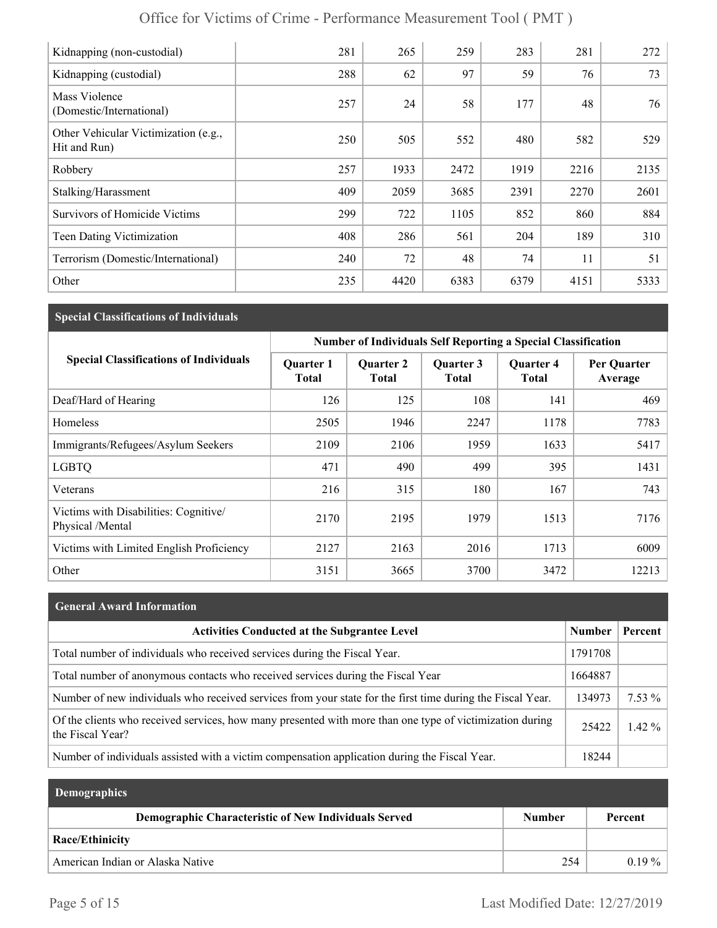| Kidnapping (non-custodial)                           | 281 | 265  | 259  | 283  | 281  | 272  |
|------------------------------------------------------|-----|------|------|------|------|------|
| Kidnapping (custodial)                               | 288 | 62   | 97   | 59   | 76   | 73   |
| Mass Violence<br>(Domestic/International)            | 257 | 24   | 58   | 177  | 48   | 76   |
| Other Vehicular Victimization (e.g.,<br>Hit and Run) | 250 | 505  | 552  | 480  | 582  | 529  |
| Robbery                                              | 257 | 1933 | 2472 | 1919 | 2216 | 2135 |
| Stalking/Harassment                                  | 409 | 2059 | 3685 | 2391 | 2270 | 2601 |
| <b>Survivors of Homicide Victims</b>                 | 299 | 722  | 1105 | 852  | 860  | 884  |
| Teen Dating Victimization                            | 408 | 286  | 561  | 204  | 189  | 310  |
| Terrorism (Domestic/International)                   | 240 | 72   | 48   | 74   | 11   | 51   |
| Other                                                | 235 | 4420 | 6383 | 6379 | 4151 | 5333 |

## **Special Classifications of Individuals**

|                                                           | <b>Number of Individuals Self Reporting a Special Classification</b> |                                  |                           |                                  |                        |  |
|-----------------------------------------------------------|----------------------------------------------------------------------|----------------------------------|---------------------------|----------------------------------|------------------------|--|
| <b>Special Classifications of Individuals</b>             | <b>Quarter 1</b><br><b>Total</b>                                     | <b>Quarter 2</b><br><b>Total</b> | Quarter 3<br><b>Total</b> | <b>Quarter 4</b><br><b>Total</b> | Per Quarter<br>Average |  |
| Deaf/Hard of Hearing                                      | 126                                                                  | 125                              | 108                       | 141                              | 469                    |  |
| Homeless                                                  | 2505                                                                 | 1946                             | 2247                      | 1178                             | 7783                   |  |
| Immigrants/Refugees/Asylum Seekers                        | 2109                                                                 | 2106                             | 1959                      | 1633                             | 5417                   |  |
| <b>LGBTQ</b>                                              | 471                                                                  | 490                              | 499                       | 395                              | 1431                   |  |
| Veterans                                                  | 216                                                                  | 315                              | 180                       | 167                              | 743                    |  |
| Victims with Disabilities: Cognitive/<br>Physical /Mental | 2170                                                                 | 2195                             | 1979                      | 1513                             | 7176                   |  |
| Victims with Limited English Proficiency                  | 2127                                                                 | 2163                             | 2016                      | 1713                             | 6009                   |  |
| Other                                                     | 3151                                                                 | 3665                             | 3700                      | 3472                             | 12213                  |  |

| <b>General Award Information</b>                                                                                             |               |          |
|------------------------------------------------------------------------------------------------------------------------------|---------------|----------|
| <b>Activities Conducted at the Subgrantee Level</b>                                                                          | <b>Number</b> | Percent  |
| Total number of individuals who received services during the Fiscal Year.                                                    | 1791708       |          |
| Total number of anonymous contacts who received services during the Fiscal Year                                              | 1664887       |          |
| Number of new individuals who received services from your state for the first time during the Fiscal Year.                   | 134973        | $7.53\%$ |
| Of the clients who received services, how many presented with more than one type of victimization during<br>the Fiscal Year? | 25422         | $1.42\%$ |
| Number of individuals assisted with a victim compensation application during the Fiscal Year.                                | 18244         |          |

| Demographics                                                |               |          |
|-------------------------------------------------------------|---------------|----------|
| <b>Demographic Characteristic of New Individuals Served</b> | <b>Number</b> | Percent  |
| <b>Race/Ethinicity</b>                                      |               |          |
| American Indian or Alaska Native                            | 254           | $0.19\%$ |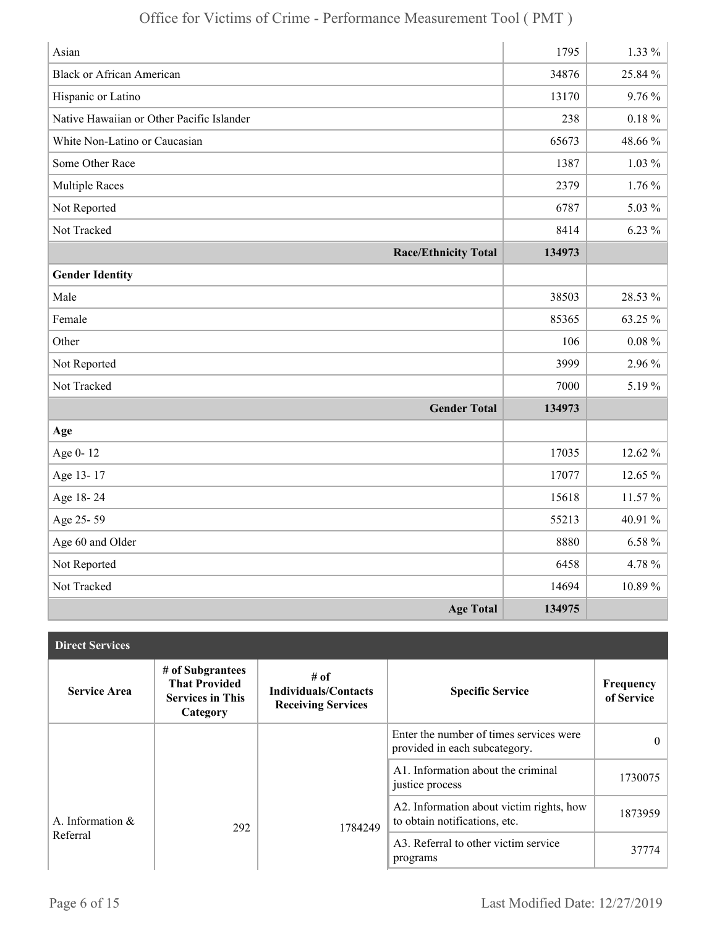| Asian                                     | 1795   | $1.33\%$    |
|-------------------------------------------|--------|-------------|
| <b>Black or African American</b>          | 34876  | 25.84 %     |
| Hispanic or Latino                        | 13170  | 9.76%       |
| Native Hawaiian or Other Pacific Islander | 238    | $0.18~\%$   |
| White Non-Latino or Caucasian             | 65673  | 48.66%      |
| Some Other Race                           | 1387   | $1.03\%$    |
| <b>Multiple Races</b>                     | 2379   | $1.76\%$    |
| Not Reported                              | 6787   | 5.03 %      |
| Not Tracked                               | 8414   | $6.23\%$    |
| <b>Race/Ethnicity Total</b>               | 134973 |             |
| <b>Gender Identity</b>                    |        |             |
| Male                                      | 38503  | 28.53 %     |
| Female                                    | 85365  | 63.25 %     |
| Other                                     | 106    | $0.08 \%$   |
| Not Reported                              | 3999   | 2.96 %      |
| Not Tracked                               | 7000   | 5.19%       |
| <b>Gender Total</b>                       | 134973 |             |
| Age                                       |        |             |
| Age 0-12                                  | 17035  | 12.62 %     |
| Age 13-17                                 | 17077  | 12.65 %     |
| Age 18-24                                 | 15618  | 11.57 %     |
| Age 25-59                                 | 55213  | 40.91 %     |
| Age 60 and Older                          | 8880   | $6.58\%$    |
| Not Reported                              | 6458   | 4.78%       |
| Not Tracked                               | 14694  | $10.89\,\%$ |
| <b>Age Total</b>                          | 134975 |             |

| <b>Direct Services</b> |                                                                                 |                                                                  |                                                                           |                         |
|------------------------|---------------------------------------------------------------------------------|------------------------------------------------------------------|---------------------------------------------------------------------------|-------------------------|
| <b>Service Area</b>    | # of Subgrantees<br><b>That Provided</b><br><b>Services in This</b><br>Category | # of<br><b>Individuals/Contacts</b><br><b>Receiving Services</b> | <b>Specific Service</b>                                                   | Frequency<br>of Service |
|                        |                                                                                 |                                                                  | Enter the number of times services were<br>provided in each subcategory.  | $\theta$                |
|                        |                                                                                 |                                                                  | A1. Information about the criminal<br>justice process                     | 1730075                 |
| A. Information &       | 292                                                                             | 1784249                                                          | A2. Information about victim rights, how<br>to obtain notifications, etc. | 1873959                 |
| Referral               |                                                                                 |                                                                  | A3. Referral to other victim service<br>programs                          | 37774                   |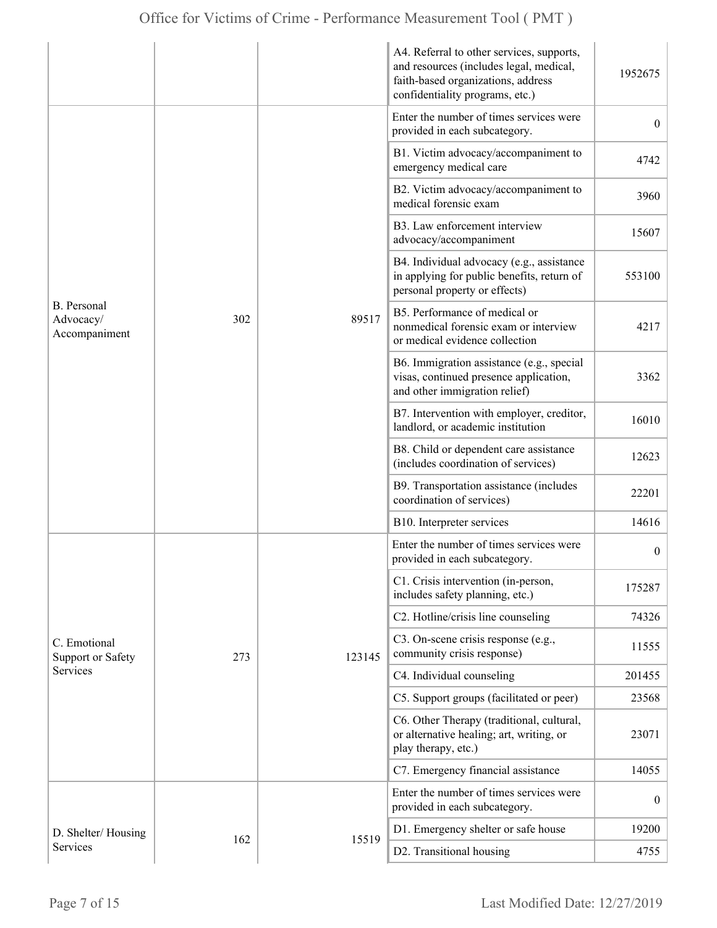|                                                  |     |                                                                                                                                                                                                                                                                                                                                                                                                           | A4. Referral to other services, supports,<br>and resources (includes legal, medical,<br>faith-based organizations, address<br>confidentiality programs, etc.) | 1952675          |
|--------------------------------------------------|-----|-----------------------------------------------------------------------------------------------------------------------------------------------------------------------------------------------------------------------------------------------------------------------------------------------------------------------------------------------------------------------------------------------------------|---------------------------------------------------------------------------------------------------------------------------------------------------------------|------------------|
| <b>B.</b> Personal<br>Advocacy/<br>Accompaniment |     | provided in each subcategory.<br>emergency medical care<br>medical forensic exam<br>B3. Law enforcement interview<br>advocacy/accompaniment<br>personal property or effects)<br>B5. Performance of medical or<br>302<br>89517<br>or medical evidence collection<br>and other immigration relief)<br>landlord, or academic institution<br>(includes coordination of services)<br>coordination of services) | Enter the number of times services were                                                                                                                       | $\overline{0}$   |
|                                                  |     |                                                                                                                                                                                                                                                                                                                                                                                                           | B1. Victim advocacy/accompaniment to                                                                                                                          | 4742             |
|                                                  |     |                                                                                                                                                                                                                                                                                                                                                                                                           | B2. Victim advocacy/accompaniment to                                                                                                                          | 3960             |
|                                                  |     |                                                                                                                                                                                                                                                                                                                                                                                                           |                                                                                                                                                               | 15607            |
|                                                  |     |                                                                                                                                                                                                                                                                                                                                                                                                           | B4. Individual advocacy (e.g., assistance<br>in applying for public benefits, return of                                                                       | 553100           |
|                                                  |     |                                                                                                                                                                                                                                                                                                                                                                                                           | nonmedical forensic exam or interview                                                                                                                         | 4217             |
|                                                  |     |                                                                                                                                                                                                                                                                                                                                                                                                           | B6. Immigration assistance (e.g., special<br>visas, continued presence application,                                                                           | 3362             |
|                                                  |     |                                                                                                                                                                                                                                                                                                                                                                                                           | B7. Intervention with employer, creditor,                                                                                                                     | 16010            |
|                                                  |     |                                                                                                                                                                                                                                                                                                                                                                                                           | B8. Child or dependent care assistance                                                                                                                        | 12623            |
|                                                  |     |                                                                                                                                                                                                                                                                                                                                                                                                           | B9. Transportation assistance (includes                                                                                                                       | 22201            |
|                                                  |     |                                                                                                                                                                                                                                                                                                                                                                                                           | B10. Interpreter services                                                                                                                                     | 14616            |
|                                                  |     | provided in each subcategory.<br>includes safety planning, etc.)<br>community crisis response)<br>123145                                                                                                                                                                                                                                                                                                  | Enter the number of times services were                                                                                                                       | $\boldsymbol{0}$ |
|                                                  |     |                                                                                                                                                                                                                                                                                                                                                                                                           | C1. Crisis intervention (in-person,                                                                                                                           | 175287           |
|                                                  |     |                                                                                                                                                                                                                                                                                                                                                                                                           | C2. Hotline/crisis line counseling                                                                                                                            | 74326            |
| C. Emotional<br>Support or Safety                | 273 |                                                                                                                                                                                                                                                                                                                                                                                                           | C3. On-scene crisis response (e.g.,                                                                                                                           | 11555            |
| Services                                         |     |                                                                                                                                                                                                                                                                                                                                                                                                           | C4. Individual counseling                                                                                                                                     | 201455           |
|                                                  |     |                                                                                                                                                                                                                                                                                                                                                                                                           | C5. Support groups (facilitated or peer)                                                                                                                      | 23568            |
|                                                  |     |                                                                                                                                                                                                                                                                                                                                                                                                           | C6. Other Therapy (traditional, cultural,<br>or alternative healing; art, writing, or<br>play therapy, etc.)                                                  | 23071            |
|                                                  |     |                                                                                                                                                                                                                                                                                                                                                                                                           | C7. Emergency financial assistance                                                                                                                            | 14055            |
|                                                  |     |                                                                                                                                                                                                                                                                                                                                                                                                           | Enter the number of times services were<br>provided in each subcategory.                                                                                      | $\boldsymbol{0}$ |
| D. Shelter/Housing                               | 162 |                                                                                                                                                                                                                                                                                                                                                                                                           | D1. Emergency shelter or safe house                                                                                                                           | 19200            |
| Services                                         |     | 15519                                                                                                                                                                                                                                                                                                                                                                                                     | D2. Transitional housing                                                                                                                                      | 4755             |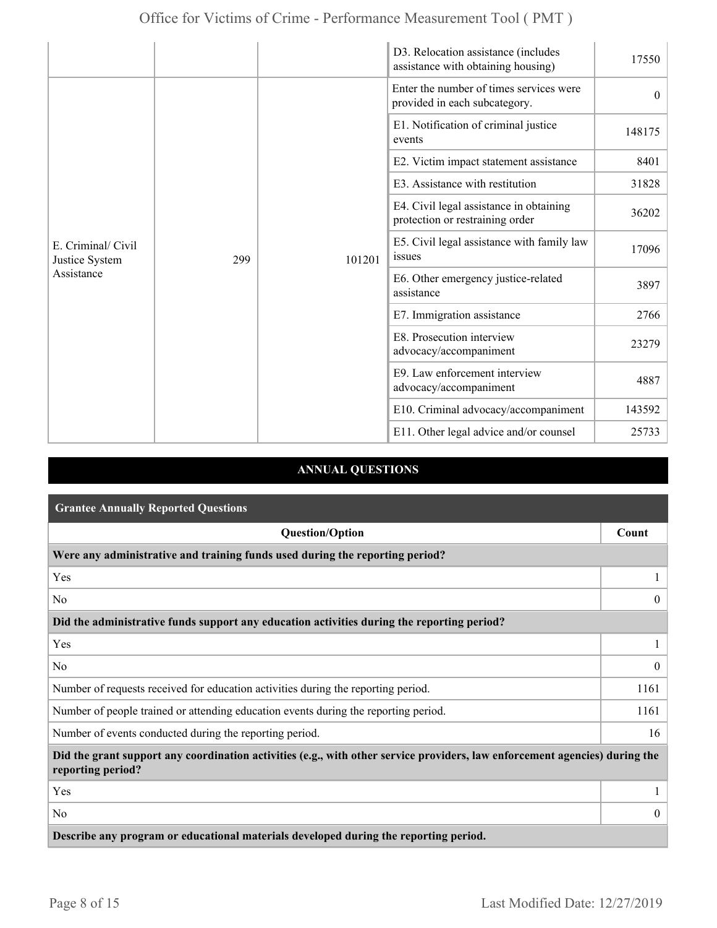|                                                    |     |        | D3. Relocation assistance (includes<br>assistance with obtaining housing)  | 17550    |
|----------------------------------------------------|-----|--------|----------------------------------------------------------------------------|----------|
| E. Criminal/ Civil<br>Justice System<br>Assistance |     |        | Enter the number of times services were<br>provided in each subcategory.   | $\theta$ |
|                                                    |     |        | E1. Notification of criminal justice<br>events                             | 148175   |
|                                                    |     |        | E2. Victim impact statement assistance                                     | 8401     |
|                                                    |     |        | E3. Assistance with restitution                                            | 31828    |
|                                                    |     |        | E4. Civil legal assistance in obtaining<br>protection or restraining order | 36202    |
|                                                    | 299 | 101201 | E5. Civil legal assistance with family law<br>issues                       | 17096    |
|                                                    |     |        | E6. Other emergency justice-related<br>assistance                          | 3897     |
|                                                    |     |        | E7. Immigration assistance                                                 | 2766     |
|                                                    |     |        | E8. Prosecution interview<br>advocacy/accompaniment                        | 23279    |
|                                                    |     |        | E9. Law enforcement interview<br>advocacy/accompaniment                    | 4887     |
|                                                    |     |        | E10. Criminal advocacy/accompaniment                                       | 143592   |
|                                                    |     |        | E11. Other legal advice and/or counsel                                     | 25733    |

### **ANNUAL QUESTIONS**

| <b>Grantee Annually Reported Questions</b>                                                                                                       |                  |  |
|--------------------------------------------------------------------------------------------------------------------------------------------------|------------------|--|
| <b>Question/Option</b>                                                                                                                           | Count            |  |
| Were any administrative and training funds used during the reporting period?                                                                     |                  |  |
| Yes                                                                                                                                              |                  |  |
| No.                                                                                                                                              | $\theta$         |  |
| Did the administrative funds support any education activities during the reporting period?                                                       |                  |  |
| Yes                                                                                                                                              |                  |  |
| No                                                                                                                                               | $\boldsymbol{0}$ |  |
| Number of requests received for education activities during the reporting period.                                                                | 1161             |  |
| Number of people trained or attending education events during the reporting period.                                                              | 1161             |  |
| Number of events conducted during the reporting period.                                                                                          | 16               |  |
| Did the grant support any coordination activities (e.g., with other service providers, law enforcement agencies) during the<br>reporting period? |                  |  |
| Yes                                                                                                                                              |                  |  |
| No                                                                                                                                               | $\overline{0}$   |  |
| Describe any program or educational materials developed during the reporting period.                                                             |                  |  |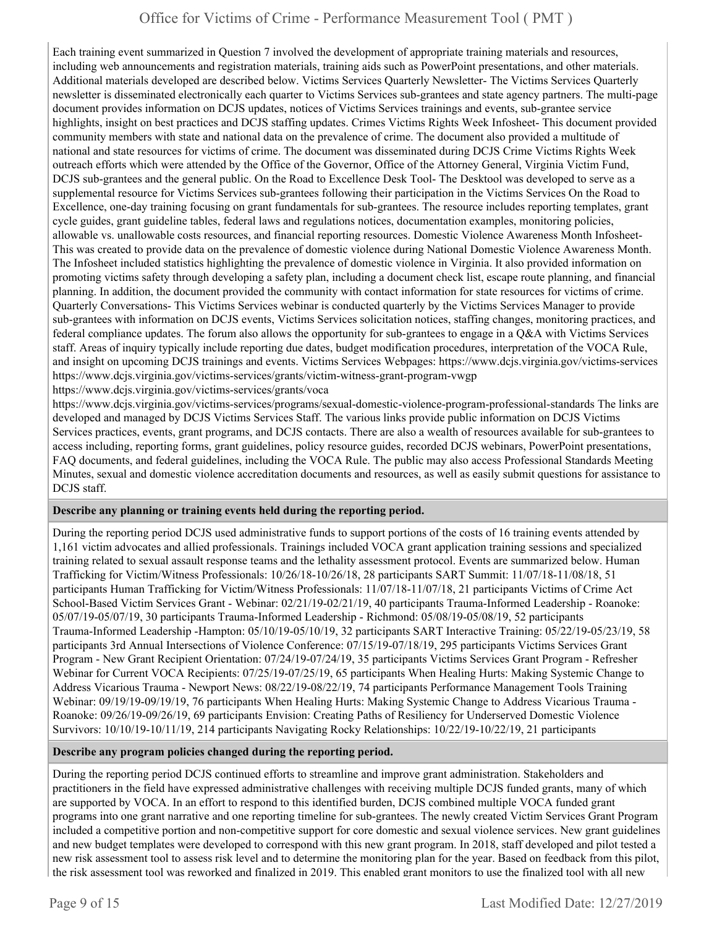Each training event summarized in Question 7 involved the development of appropriate training materials and resources, including web announcements and registration materials, training aids such as PowerPoint presentations, and other materials. Additional materials developed are described below. Victims Services Quarterly Newsletter- The Victims Services Quarterly newsletter is disseminated electronically each quarter to Victims Services sub-grantees and state agency partners. The multi-page document provides information on DCJS updates, notices of Victims Services trainings and events, sub-grantee service highlights, insight on best practices and DCJS staffing updates. Crimes Victims Rights Week Infosheet- This document provided community members with state and national data on the prevalence of crime. The document also provided a multitude of national and state resources for victims of crime. The document was disseminated during DCJS Crime Victims Rights Week outreach efforts which were attended by the Office of the Governor, Office of the Attorney General, Virginia Victim Fund, DCJS sub-grantees and the general public. On the Road to Excellence Desk Tool- The Desktool was developed to serve as a supplemental resource for Victims Services sub-grantees following their participation in the Victims Services On the Road to Excellence, one-day training focusing on grant fundamentals for sub-grantees. The resource includes reporting templates, grant cycle guides, grant guideline tables, federal laws and regulations notices, documentation examples, monitoring policies, allowable vs. unallowable costs resources, and financial reporting resources. Domestic Violence Awareness Month Infosheet-This was created to provide data on the prevalence of domestic violence during National Domestic Violence Awareness Month. The Infosheet included statistics highlighting the prevalence of domestic violence in Virginia. It also provided information on promoting victims safety through developing a safety plan, including a document check list, escape route planning, and financial planning. In addition, the document provided the community with contact information for state resources for victims of crime. Quarterly Conversations- This Victims Services webinar is conducted quarterly by the Victims Services Manager to provide sub-grantees with information on DCJS events, Victims Services solicitation notices, staffing changes, monitoring practices, and federal compliance updates. The forum also allows the opportunity for sub-grantees to engage in a Q&A with Victims Services staff. Areas of inquiry typically include reporting due dates, budget modification procedures, interpretation of the VOCA Rule, and insight on upcoming DCJS trainings and events. Victims Services Webpages: https://www.dcjs.virginia.gov/victims-services https://www.dcjs.virginia.gov/victims-services/grants/victim-witness-grant-program-vwgp

https://www.dcjs.virginia.gov/victims-services/grants/voca

https://www.dcjs.virginia.gov/victims-services/programs/sexual-domestic-violence-program-professional-standards The links are developed and managed by DCJS Victims Services Staff. The various links provide public information on DCJS Victims Services practices, events, grant programs, and DCJS contacts. There are also a wealth of resources available for sub-grantees to access including, reporting forms, grant guidelines, policy resource guides, recorded DCJS webinars, PowerPoint presentations, FAQ documents, and federal guidelines, including the VOCA Rule. The public may also access Professional Standards Meeting Minutes, sexual and domestic violence accreditation documents and resources, as well as easily submit questions for assistance to DCJS staff.

#### **Describe any planning or training events held during the reporting period.**

During the reporting period DCJS used administrative funds to support portions of the costs of 16 training events attended by 1,161 victim advocates and allied professionals. Trainings included VOCA grant application training sessions and specialized training related to sexual assault response teams and the lethality assessment protocol. Events are summarized below. Human Trafficking for Victim/Witness Professionals: 10/26/18-10/26/18, 28 participants SART Summit: 11/07/18-11/08/18, 51 participants Human Trafficking for Victim/Witness Professionals: 11/07/18-11/07/18, 21 participants Victims of Crime Act School-Based Victim Services Grant - Webinar: 02/21/19-02/21/19, 40 participants Trauma-Informed Leadership - Roanoke: 05/07/19-05/07/19, 30 participants Trauma-Informed Leadership - Richmond: 05/08/19-05/08/19, 52 participants Trauma-Informed Leadership -Hampton: 05/10/19-05/10/19, 32 participants SART Interactive Training: 05/22/19-05/23/19, 58 participants 3rd Annual Intersections of Violence Conference: 07/15/19-07/18/19, 295 participants Victims Services Grant Program - New Grant Recipient Orientation: 07/24/19-07/24/19, 35 participants Victims Services Grant Program - Refresher Webinar for Current VOCA Recipients: 07/25/19-07/25/19, 65 participants When Healing Hurts: Making Systemic Change to Address Vicarious Trauma - Newport News: 08/22/19-08/22/19, 74 participants Performance Management Tools Training Webinar: 09/19/19-09/19/19, 76 participants When Healing Hurts: Making Systemic Change to Address Vicarious Trauma - Roanoke: 09/26/19-09/26/19, 69 participants Envision: Creating Paths of Resiliency for Underserved Domestic Violence Survivors: 10/10/19-10/11/19, 214 participants Navigating Rocky Relationships: 10/22/19-10/22/19, 21 participants

#### **Describe any program policies changed during the reporting period.**

During the reporting period DCJS continued efforts to streamline and improve grant administration. Stakeholders and practitioners in the field have expressed administrative challenges with receiving multiple DCJS funded grants, many of which are supported by VOCA. In an effort to respond to this identified burden, DCJS combined multiple VOCA funded grant programs into one grant narrative and one reporting timeline for sub-grantees. The newly created Victim Services Grant Program included a competitive portion and non-competitive support for core domestic and sexual violence services. New grant guidelines and new budget templates were developed to correspond with this new grant program. In 2018, staff developed and pilot tested a new risk assessment tool to assess risk level and to determine the monitoring plan for the year. Based on feedback from this pilot, the risk assessment tool was reworked and finalized in 2019. This enabled grant monitors to use the finalized tool with all new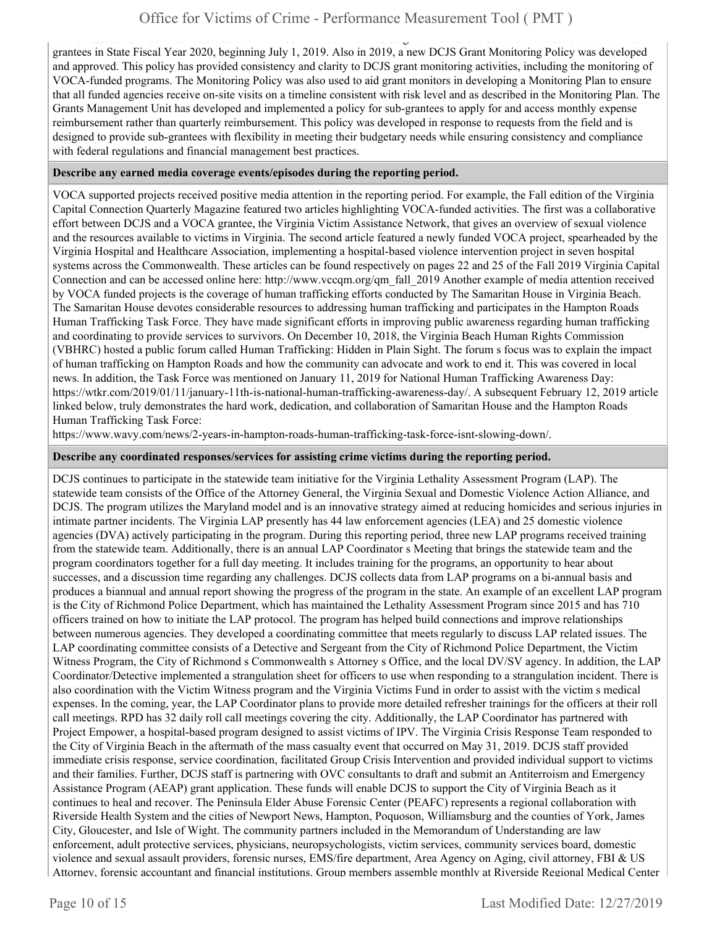the risk assessment tool was reworked and finalized in 2019. This enabled grant monitors to use the finalized tool with all new grantees in State Fiscal Year 2020, beginning July 1, 2019. Also in 2019, a new DCJS Grant Monitoring Policy was developed and approved. This policy has provided consistency and clarity to DCJS grant monitoring activities, including the monitoring of VOCA-funded programs. The Monitoring Policy was also used to aid grant monitors in developing a Monitoring Plan to ensure that all funded agencies receive on-site visits on a timeline consistent with risk level and as described in the Monitoring Plan. The Grants Management Unit has developed and implemented a policy for sub-grantees to apply for and access monthly expense reimbursement rather than quarterly reimbursement. This policy was developed in response to requests from the field and is designed to provide sub-grantees with flexibility in meeting their budgetary needs while ensuring consistency and compliance with federal regulations and financial management best practices.

#### **Describe any earned media coverage events/episodes during the reporting period.**

VOCA supported projects received positive media attention in the reporting period. For example, the Fall edition of the Virginia Capital Connection Quarterly Magazine featured two articles highlighting VOCA-funded activities. The first was a collaborative effort between DCJS and a VOCA grantee, the Virginia Victim Assistance Network, that gives an overview of sexual violence and the resources available to victims in Virginia. The second article featured a newly funded VOCA project, spearheaded by the Virginia Hospital and Healthcare Association, implementing a hospital-based violence intervention project in seven hospital systems across the Commonwealth. These articles can be found respectively on pages 22 and 25 of the Fall 2019 Virginia Capital Connection and can be accessed online here: http://www.vccqm.org/qm\_fall\_2019 Another example of media attention received by VOCA funded projects is the coverage of human trafficking efforts conducted by The Samaritan House in Virginia Beach. The Samaritan House devotes considerable resources to addressing human trafficking and participates in the Hampton Roads Human Trafficking Task Force. They have made significant efforts in improving public awareness regarding human trafficking and coordinating to provide services to survivors. On December 10, 2018, the Virginia Beach Human Rights Commission (VBHRC) hosted a public forum called Human Trafficking: Hidden in Plain Sight. The forum s focus was to explain the impact of human trafficking on Hampton Roads and how the community can advocate and work to end it. This was covered in local news. In addition, the Task Force was mentioned on January 11, 2019 for National Human Trafficking Awareness Day: https://wtkr.com/2019/01/11/january-11th-is-national-human-trafficking-awareness-day/. A subsequent February 12, 2019 article linked below, truly demonstrates the hard work, dedication, and collaboration of Samaritan House and the Hampton Roads Human Trafficking Task Force:

https://www.wavy.com/news/2-years-in-hampton-roads-human-trafficking-task-force-isnt-slowing-down/.

#### **Describe any coordinated responses/services for assisting crime victims during the reporting period.**

DCJS continues to participate in the statewide team initiative for the Virginia Lethality Assessment Program (LAP). The statewide team consists of the Office of the Attorney General, the Virginia Sexual and Domestic Violence Action Alliance, and DCJS. The program utilizes the Maryland model and is an innovative strategy aimed at reducing homicides and serious injuries in intimate partner incidents. The Virginia LAP presently has 44 law enforcement agencies (LEA) and 25 domestic violence agencies (DVA) actively participating in the program. During this reporting period, three new LAP programs received training from the statewide team. Additionally, there is an annual LAP Coordinator s Meeting that brings the statewide team and the program coordinators together for a full day meeting. It includes training for the programs, an opportunity to hear about successes, and a discussion time regarding any challenges. DCJS collects data from LAP programs on a bi-annual basis and produces a biannual and annual report showing the progress of the program in the state. An example of an excellent LAP program is the City of Richmond Police Department, which has maintained the Lethality Assessment Program since 2015 and has 710 officers trained on how to initiate the LAP protocol. The program has helped build connections and improve relationships between numerous agencies. They developed a coordinating committee that meets regularly to discuss LAP related issues. The LAP coordinating committee consists of a Detective and Sergeant from the City of Richmond Police Department, the Victim Witness Program, the City of Richmond s Commonwealth s Attorney s Office, and the local DV/SV agency. In addition, the LAP Coordinator/Detective implemented a strangulation sheet for officers to use when responding to a strangulation incident. There is also coordination with the Victim Witness program and the Virginia Victims Fund in order to assist with the victim s medical expenses. In the coming, year, the LAP Coordinator plans to provide more detailed refresher trainings for the officers at their roll call meetings. RPD has 32 daily roll call meetings covering the city. Additionally, the LAP Coordinator has partnered with Project Empower, a hospital-based program designed to assist victims of IPV. The Virginia Crisis Response Team responded to the City of Virginia Beach in the aftermath of the mass casualty event that occurred on May 31, 2019. DCJS staff provided immediate crisis response, service coordination, facilitated Group Crisis Intervention and provided individual support to victims and their families. Further, DCJS staff is partnering with OVC consultants to draft and submit an Antiterroism and Emergency Assistance Program (AEAP) grant application. These funds will enable DCJS to support the City of Virginia Beach as it continues to heal and recover. The Peninsula Elder Abuse Forensic Center (PEAFC) represents a regional collaboration with Riverside Health System and the cities of Newport News, Hampton, Poquoson, Williamsburg and the counties of York, James City, Gloucester, and Isle of Wight. The community partners included in the Memorandum of Understanding are law enforcement, adult protective services, physicians, neuropsychologists, victim services, community services board, domestic violence and sexual assault providers, forensic nurses, EMS/fire department, Area Agency on Aging, civil attorney, FBI & US Attorney, forensic accountant and financial institutions. Group members assemble monthly at Riverside Regional Medical Center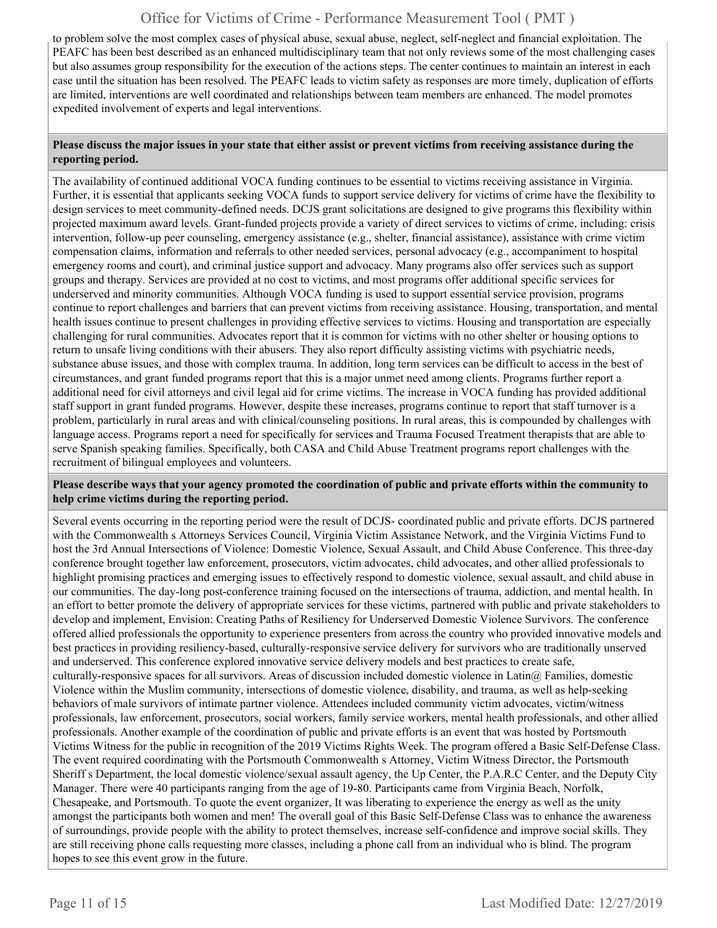to problem solve the most complex cases of physical abuse, sexual abuse, neglect, self-neglect and financial exploitation. The PEAFC has been best described as an enhanced multidisciplinary team that not only reviews some of the most challenging cases but also assumes group responsibility for the execution of the actions steps. The center continues to maintain an interest in each case until the situation has been resolved. The PEAFC leads to victim safety as responses are more timely, duplication of efforts are limited, interventions are well coordinated and relationships between team members are enhanced. The model promotes expedited involvement of experts and legal interventions.

#### **Please discuss the major issues in your state that either assist or prevent victims from receiving assistance during the reporting period.**

The availability of continued additional VOCA funding continues to be essential to victims receiving assistance in Virginia. Further, it is essential that applicants seeking VOCA funds to support service delivery for victims of crime have the flexibility to design services to meet community-defined needs. DCJS grant solicitations are designed to give programs this flexibility within projected maximum award levels. Grant-funded projects provide a variety of direct services to victims of crime, including: crisis intervention, follow-up peer counseling, emergency assistance (e.g., shelter, financial assistance), assistance with crime victim compensation claims, information and referrals to other needed services, personal advocacy (e.g., accompaniment to hospital emergency rooms and court), and criminal justice support and advocacy. Many programs also offer services such as support groups and therapy. Services are provided at no cost to victims, and most programs offer additional specific services for underserved and minority communities. Although VOCA funding is used to support essential service provision, programs continue to report challenges and barriers that can prevent victims from receiving assistance. Housing, transportation, and mental health issues continue to present challenges in providing effective services to victims. Housing and transportation are especially challenging for rural communities. Advocates report that it is common for victims with no other shelter or housing options to return to unsafe living conditions with their abusers. They also report difficulty assisting victims with psychiatric needs, substance abuse issues, and those with complex trauma. In addition, long term services can be difficult to access in the best of circumstances, and grant funded programs report that this is a major unmet need among clients. Programs further report a additional need for civil attorneys and civil legal aid for crime victims. The increase in VOCA funding has provided additional staff support in grant funded programs. However, despite these increases, programs continue to report that staff turnover is a problem, particularly in rural areas and with clinical/counseling positions. In rural areas, this is compounded by challenges with language access. Programs report a need for specifically for services and Trauma Focused Treatment therapists that are able to serve Spanish speaking families. Specifically, both CASA and Child Abuse Treatment programs report challenges with the recruitment of bilingual employees and volunteers.

#### **Please describe ways that your agency promoted the coordination of public and private efforts within the community to help crime victims during the reporting period.**

Several events occurring in the reporting period were the result of DCJS- coordinated public and private efforts. DCJS partnered with the Commonwealth s Attorneys Services Council, Virginia Victim Assistance Network, and the Virginia Victims Fund to host the 3rd Annual Intersections of Violence: Domestic Violence, Sexual Assault, and Child Abuse Conference. This three-day conference brought together law enforcement, prosecutors, victim advocates, child advocates, and other allied professionals to highlight promising practices and emerging issues to effectively respond to domestic violence, sexual assault, and child abuse in our communities. The day-long post-conference training focused on the intersections of trauma, addiction, and mental health. In an effort to better promote the delivery of appropriate services for these victims, partnered with public and private stakeholders to develop and implement, Envision: Creating Paths of Resiliency for Underserved Domestic Violence Survivors. The conference offered allied professionals the opportunity to experience presenters from across the country who provided innovative models and best practices in providing resiliency-based, culturally-responsive service delivery for survivors who are traditionally unserved and underserved. This conference explored innovative service delivery models and best practices to create safe, culturally-responsive spaces for all survivors. Areas of discussion included domestic violence in Latin $@$  Families, domestic Violence within the Muslim community, intersections of domestic violence, disability, and trauma, as well as help-seeking behaviors of male survivors of intimate partner violence. Attendees included community victim advocates, victim/witness professionals, law enforcement, prosecutors, social workers, family service workers, mental health professionals, and other allied professionals. Another example of the coordination of public and private efforts is an event that was hosted by Portsmouth Victims Witness for the public in recognition of the 2019 Victims Rights Week. The program offered a Basic Self-Defense Class. The event required coordinating with the Portsmouth Commonwealth s Attorney, Victim Witness Director, the Portsmouth Sheriff s Department, the local domestic violence/sexual assault agency, the Up Center, the P.A.R.C Center, and the Deputy City Manager. There were 40 participants ranging from the age of 19-80. Participants came from Virginia Beach, Norfolk, Chesapeake, and Portsmouth. To quote the event organizer, It was liberating to experience the energy as well as the unity amongst the participants both women and men! The overall goal of this Basic Self-Defense Class was to enhance the awareness of surroundings, provide people with the ability to protect themselves, increase self-confidence and improve social skills. They are still receiving phone calls requesting more classes, including a phone call from an individual who is blind. The program hopes to see this event grow in the future.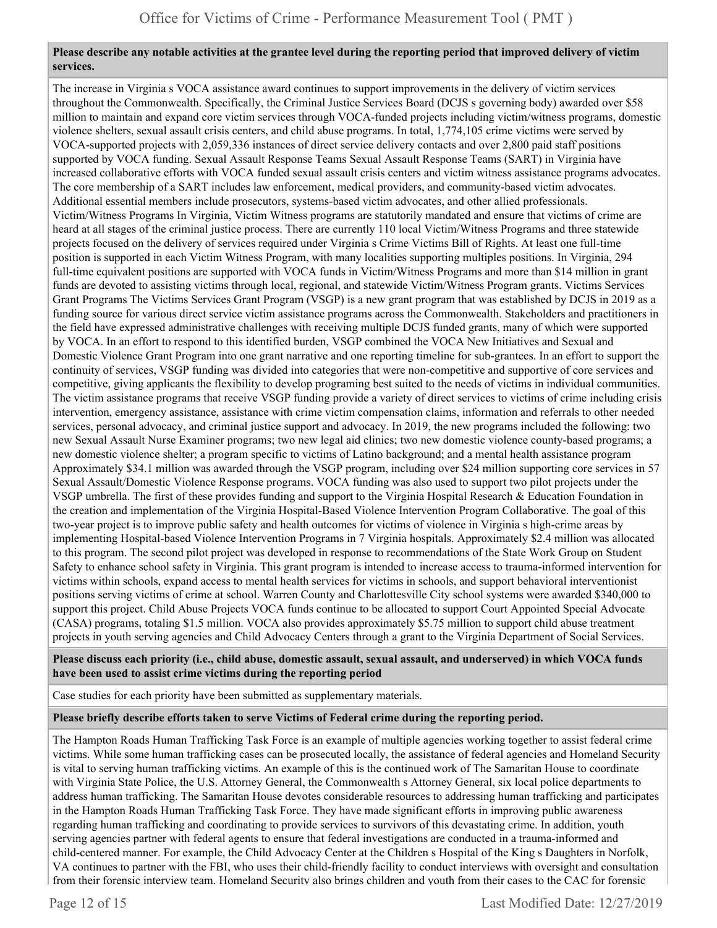#### **Please describe any notable activities at the grantee level during the reporting period that improved delivery of victim services.**

The increase in Virginia s VOCA assistance award continues to support improvements in the delivery of victim services throughout the Commonwealth. Specifically, the Criminal Justice Services Board (DCJS s governing body) awarded over \$58 million to maintain and expand core victim services through VOCA-funded projects including victim/witness programs, domestic violence shelters, sexual assault crisis centers, and child abuse programs. In total, 1,774,105 crime victims were served by VOCA-supported projects with 2,059,336 instances of direct service delivery contacts and over 2,800 paid staff positions supported by VOCA funding. Sexual Assault Response Teams Sexual Assault Response Teams (SART) in Virginia have increased collaborative efforts with VOCA funded sexual assault crisis centers and victim witness assistance programs advocates. The core membership of a SART includes law enforcement, medical providers, and community-based victim advocates. Additional essential members include prosecutors, systems-based victim advocates, and other allied professionals. Victim/Witness Programs In Virginia, Victim Witness programs are statutorily mandated and ensure that victims of crime are heard at all stages of the criminal justice process. There are currently 110 local Victim/Witness Programs and three statewide projects focused on the delivery of services required under Virginia s Crime Victims Bill of Rights. At least one full-time position is supported in each Victim Witness Program, with many localities supporting multiples positions. In Virginia, 294 full-time equivalent positions are supported with VOCA funds in Victim/Witness Programs and more than \$14 million in grant funds are devoted to assisting victims through local, regional, and statewide Victim/Witness Program grants. Victims Services Grant Programs The Victims Services Grant Program (VSGP) is a new grant program that was established by DCJS in 2019 as a funding source for various direct service victim assistance programs across the Commonwealth. Stakeholders and practitioners in the field have expressed administrative challenges with receiving multiple DCJS funded grants, many of which were supported by VOCA. In an effort to respond to this identified burden, VSGP combined the VOCA New Initiatives and Sexual and Domestic Violence Grant Program into one grant narrative and one reporting timeline for sub-grantees. In an effort to support the continuity of services, VSGP funding was divided into categories that were non-competitive and supportive of core services and competitive, giving applicants the flexibility to develop programing best suited to the needs of victims in individual communities. The victim assistance programs that receive VSGP funding provide a variety of direct services to victims of crime including crisis intervention, emergency assistance, assistance with crime victim compensation claims, information and referrals to other needed services, personal advocacy, and criminal justice support and advocacy. In 2019, the new programs included the following: two new Sexual Assault Nurse Examiner programs; two new legal aid clinics; two new domestic violence county-based programs; a new domestic violence shelter; a program specific to victims of Latino background; and a mental health assistance program Approximately \$34.1 million was awarded through the VSGP program, including over \$24 million supporting core services in 57 Sexual Assault/Domestic Violence Response programs. VOCA funding was also used to support two pilot projects under the VSGP umbrella. The first of these provides funding and support to the Virginia Hospital Research & Education Foundation in the creation and implementation of the Virginia Hospital-Based Violence Intervention Program Collaborative. The goal of this two-year project is to improve public safety and health outcomes for victims of violence in Virginia s high-crime areas by implementing Hospital-based Violence Intervention Programs in 7 Virginia hospitals. Approximately \$2.4 million was allocated to this program. The second pilot project was developed in response to recommendations of the State Work Group on Student Safety to enhance school safety in Virginia. This grant program is intended to increase access to trauma-informed intervention for victims within schools, expand access to mental health services for victims in schools, and support behavioral interventionist positions serving victims of crime at school. Warren County and Charlottesville City school systems were awarded \$340,000 to support this project. Child Abuse Projects VOCA funds continue to be allocated to support Court Appointed Special Advocate (CASA) programs, totaling \$1.5 million. VOCA also provides approximately \$5.75 million to support child abuse treatment projects in youth serving agencies and Child Advocacy Centers through a grant to the Virginia Department of Social Services.

**Please discuss each priority (i.e., child abuse, domestic assault, sexual assault, and underserved) in which VOCA funds have been used to assist crime victims during the reporting period** 

Case studies for each priority have been submitted as supplementary materials.

**Please briefly describe efforts taken to serve Victims of Federal crime during the reporting period.** 

The Hampton Roads Human Trafficking Task Force is an example of multiple agencies working together to assist federal crime victims. While some human trafficking cases can be prosecuted locally, the assistance of federal agencies and Homeland Security is vital to serving human trafficking victims. An example of this is the continued work of The Samaritan House to coordinate with Virginia State Police, the U.S. Attorney General, the Commonwealth s Attorney General, six local police departments to address human trafficking. The Samaritan House devotes considerable resources to addressing human trafficking and participates in the Hampton Roads Human Trafficking Task Force. They have made significant efforts in improving public awareness regarding human trafficking and coordinating to provide services to survivors of this devastating crime. In addition, youth serving agencies partner with federal agents to ensure that federal investigations are conducted in a trauma-informed and child-centered manner. For example, the Child Advocacy Center at the Children s Hospital of the King s Daughters in Norfolk, VA continues to partner with the FBI, who uses their child-friendly facility to conduct interviews with oversight and consultation from their forensic interview team. Homeland Security also brings children and youth from their cases to the CAC for forensic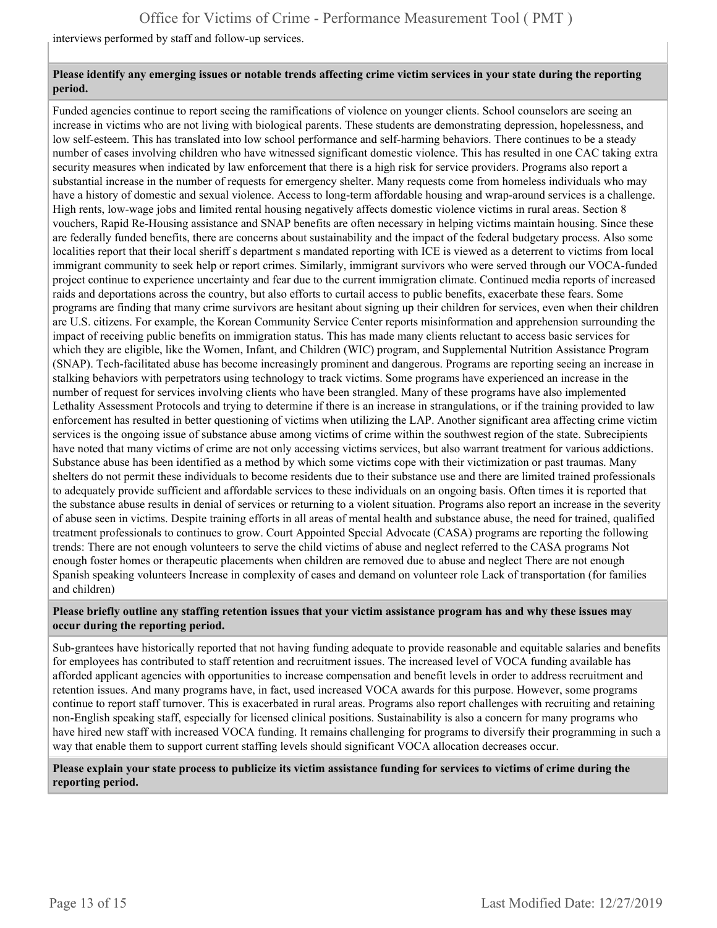interviews performed by staff and follow-up services.

#### **Please identify any emerging issues or notable trends affecting crime victim services in your state during the reporting period.**

Funded agencies continue to report seeing the ramifications of violence on younger clients. School counselors are seeing an increase in victims who are not living with biological parents. These students are demonstrating depression, hopelessness, and low self-esteem. This has translated into low school performance and self-harming behaviors. There continues to be a steady number of cases involving children who have witnessed significant domestic violence. This has resulted in one CAC taking extra security measures when indicated by law enforcement that there is a high risk for service providers. Programs also report a substantial increase in the number of requests for emergency shelter. Many requests come from homeless individuals who may have a history of domestic and sexual violence. Access to long-term affordable housing and wrap-around services is a challenge. High rents, low-wage jobs and limited rental housing negatively affects domestic violence victims in rural areas. Section 8 vouchers, Rapid Re-Housing assistance and SNAP benefits are often necessary in helping victims maintain housing. Since these are federally funded benefits, there are concerns about sustainability and the impact of the federal budgetary process. Also some localities report that their local sheriff s department s mandated reporting with ICE is viewed as a deterrent to victims from local immigrant community to seek help or report crimes. Similarly, immigrant survivors who were served through our VOCA-funded project continue to experience uncertainty and fear due to the current immigration climate. Continued media reports of increased raids and deportations across the country, but also efforts to curtail access to public benefits, exacerbate these fears. Some programs are finding that many crime survivors are hesitant about signing up their children for services, even when their children are U.S. citizens. For example, the Korean Community Service Center reports misinformation and apprehension surrounding the impact of receiving public benefits on immigration status. This has made many clients reluctant to access basic services for which they are eligible, like the Women, Infant, and Children (WIC) program, and Supplemental Nutrition Assistance Program (SNAP). Tech-facilitated abuse has become increasingly prominent and dangerous. Programs are reporting seeing an increase in stalking behaviors with perpetrators using technology to track victims. Some programs have experienced an increase in the number of request for services involving clients who have been strangled. Many of these programs have also implemented Lethality Assessment Protocols and trying to determine if there is an increase in strangulations, or if the training provided to law enforcement has resulted in better questioning of victims when utilizing the LAP. Another significant area affecting crime victim services is the ongoing issue of substance abuse among victims of crime within the southwest region of the state. Subrecipients have noted that many victims of crime are not only accessing victims services, but also warrant treatment for various addictions. Substance abuse has been identified as a method by which some victims cope with their victimization or past traumas. Many shelters do not permit these individuals to become residents due to their substance use and there are limited trained professionals to adequately provide sufficient and affordable services to these individuals on an ongoing basis. Often times it is reported that the substance abuse results in denial of services or returning to a violent situation. Programs also report an increase in the severity of abuse seen in victims. Despite training efforts in all areas of mental health and substance abuse, the need for trained, qualified treatment professionals to continues to grow. Court Appointed Special Advocate (CASA) programs are reporting the following trends: There are not enough volunteers to serve the child victims of abuse and neglect referred to the CASA programs Not enough foster homes or therapeutic placements when children are removed due to abuse and neglect There are not enough Spanish speaking volunteers Increase in complexity of cases and demand on volunteer role Lack of transportation (for families and children)

#### **Please briefly outline any staffing retention issues that your victim assistance program has and why these issues may occur during the reporting period.**

Sub-grantees have historically reported that not having funding adequate to provide reasonable and equitable salaries and benefits for employees has contributed to staff retention and recruitment issues. The increased level of VOCA funding available has afforded applicant agencies with opportunities to increase compensation and benefit levels in order to address recruitment and retention issues. And many programs have, in fact, used increased VOCA awards for this purpose. However, some programs continue to report staff turnover. This is exacerbated in rural areas. Programs also report challenges with recruiting and retaining non-English speaking staff, especially for licensed clinical positions. Sustainability is also a concern for many programs who have hired new staff with increased VOCA funding. It remains challenging for programs to diversify their programming in such a way that enable them to support current staffing levels should significant VOCA allocation decreases occur.

#### **Please explain your state process to publicize its victim assistance funding for services to victims of crime during the reporting period.**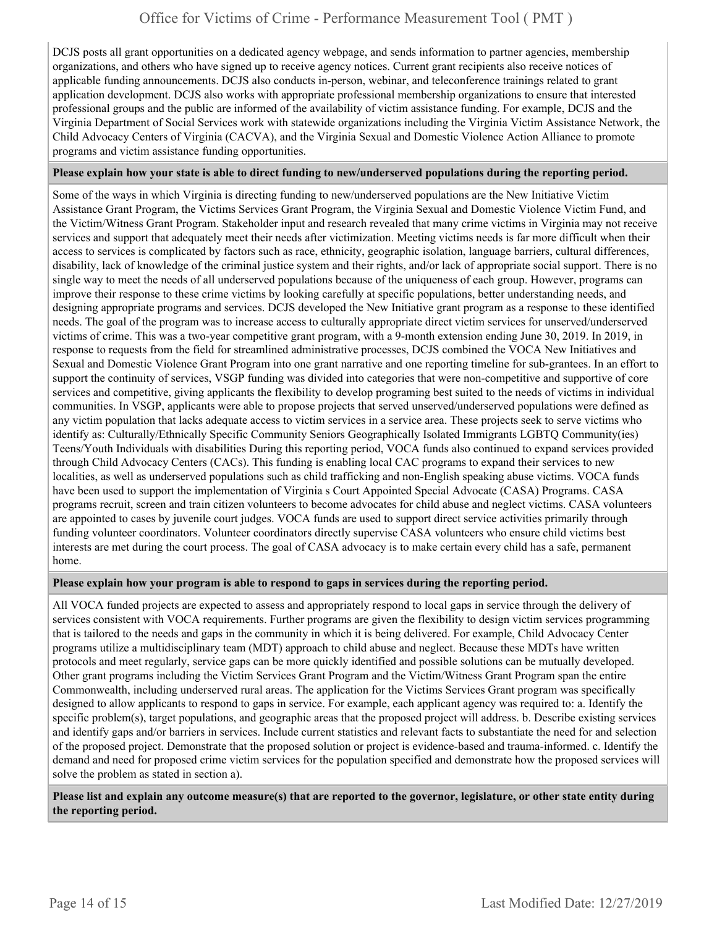DCJS posts all grant opportunities on a dedicated agency webpage, and sends information to partner agencies, membership organizations, and others who have signed up to receive agency notices. Current grant recipients also receive notices of applicable funding announcements. DCJS also conducts in-person, webinar, and teleconference trainings related to grant application development. DCJS also works with appropriate professional membership organizations to ensure that interested professional groups and the public are informed of the availability of victim assistance funding. For example, DCJS and the Virginia Department of Social Services work with statewide organizations including the Virginia Victim Assistance Network, the Child Advocacy Centers of Virginia (CACVA), and the Virginia Sexual and Domestic Violence Action Alliance to promote programs and victim assistance funding opportunities.

#### **Please explain how your state is able to direct funding to new/underserved populations during the reporting period.**

Some of the ways in which Virginia is directing funding to new/underserved populations are the New Initiative Victim Assistance Grant Program, the Victims Services Grant Program, the Virginia Sexual and Domestic Violence Victim Fund, and the Victim/Witness Grant Program. Stakeholder input and research revealed that many crime victims in Virginia may not receive services and support that adequately meet their needs after victimization. Meeting victims needs is far more difficult when their access to services is complicated by factors such as race, ethnicity, geographic isolation, language barriers, cultural differences, disability, lack of knowledge of the criminal justice system and their rights, and/or lack of appropriate social support. There is no single way to meet the needs of all underserved populations because of the uniqueness of each group. However, programs can improve their response to these crime victims by looking carefully at specific populations, better understanding needs, and designing appropriate programs and services. DCJS developed the New Initiative grant program as a response to these identified needs. The goal of the program was to increase access to culturally appropriate direct victim services for unserved/underserved victims of crime. This was a two-year competitive grant program, with a 9-month extension ending June 30, 2019. In 2019, in response to requests from the field for streamlined administrative processes, DCJS combined the VOCA New Initiatives and Sexual and Domestic Violence Grant Program into one grant narrative and one reporting timeline for sub-grantees. In an effort to support the continuity of services, VSGP funding was divided into categories that were non-competitive and supportive of core services and competitive, giving applicants the flexibility to develop programing best suited to the needs of victims in individual communities. In VSGP, applicants were able to propose projects that served unserved/underserved populations were defined as any victim population that lacks adequate access to victim services in a service area. These projects seek to serve victims who identify as: Culturally/Ethnically Specific Community Seniors Geographically Isolated Immigrants LGBTQ Community(ies) Teens/Youth Individuals with disabilities During this reporting period, VOCA funds also continued to expand services provided through Child Advocacy Centers (CACs). This funding is enabling local CAC programs to expand their services to new localities, as well as underserved populations such as child trafficking and non-English speaking abuse victims. VOCA funds have been used to support the implementation of Virginia s Court Appointed Special Advocate (CASA) Programs. CASA programs recruit, screen and train citizen volunteers to become advocates for child abuse and neglect victims. CASA volunteers are appointed to cases by juvenile court judges. VOCA funds are used to support direct service activities primarily through funding volunteer coordinators. Volunteer coordinators directly supervise CASA volunteers who ensure child victims best interests are met during the court process. The goal of CASA advocacy is to make certain every child has a safe, permanent home.

#### **Please explain how your program is able to respond to gaps in services during the reporting period.**

All VOCA funded projects are expected to assess and appropriately respond to local gaps in service through the delivery of services consistent with VOCA requirements. Further programs are given the flexibility to design victim services programming that is tailored to the needs and gaps in the community in which it is being delivered. For example, Child Advocacy Center programs utilize a multidisciplinary team (MDT) approach to child abuse and neglect. Because these MDTs have written protocols and meet regularly, service gaps can be more quickly identified and possible solutions can be mutually developed. Other grant programs including the Victim Services Grant Program and the Victim/Witness Grant Program span the entire Commonwealth, including underserved rural areas. The application for the Victims Services Grant program was specifically designed to allow applicants to respond to gaps in service. For example, each applicant agency was required to: a. Identify the specific problem(s), target populations, and geographic areas that the proposed project will address. b. Describe existing services and identify gaps and/or barriers in services. Include current statistics and relevant facts to substantiate the need for and selection of the proposed project. Demonstrate that the proposed solution or project is evidence-based and trauma-informed. c. Identify the demand and need for proposed crime victim services for the population specified and demonstrate how the proposed services will solve the problem as stated in section a).

**Please list and explain any outcome measure(s) that are reported to the governor, legislature, or other state entity during the reporting period.**